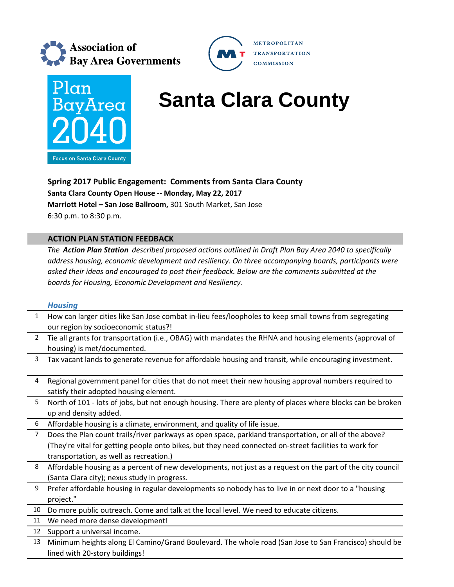



# **BayArea** Santa Clara County

**METROPOLITAN TRANSPORTATION COMMISSION** 

**Spring 2017 Public Engagement: Comments from Santa Clara County Santa Clara County Open House ‐‐ Monday, May 22, 2017 Marriott Hotel – San Jose Ballroom,** 301 South Market, San Jose 6:30 p.m. to 8:30 p.m.

## **ACTION PLAN STATION FEEDBACK**

*The Action Plan Station described proposed actions outlined in Draft Plan Bay Area 2040 to specifically address housing, economic development and resiliency. On three accompanying boards, participants were asked their ideas and encouraged to post their feedback. Below are the comments submitted at the boards for Housing, Economic Development and Resiliency.*

## *Housing*

| 1              | How can larger cities like San Jose combat in-lieu fees/loopholes to keep small towns from segregating     |
|----------------|------------------------------------------------------------------------------------------------------------|
|                | our region by socioeconomic status?!                                                                       |
| $\overline{2}$ | Tie all grants for transportation (i.e., OBAG) with mandates the RHNA and housing elements (approval of    |
|                | housing) is met/documented.                                                                                |
| $\overline{3}$ | Tax vacant lands to generate revenue for affordable housing and transit, while encouraging investment.     |
| 4              | Regional government panel for cities that do not meet their new housing approval numbers required to       |
|                | satisfy their adopted housing element.                                                                     |
| 5              | North of 101 - lots of jobs, but not enough housing. There are plenty of places where blocks can be broken |
|                | up and density added.                                                                                      |
| 6              | Affordable housing is a climate, environment, and quality of life issue.                                   |
| 7              | Does the Plan count trails/river parkways as open space, parkland transportation, or all of the above?     |
|                | (They're vital for getting people onto bikes, but they need connected on-street facilities to work for     |
|                | transportation, as well as recreation.)                                                                    |
| 8              | Affordable housing as a percent of new developments, not just as a request on the part of the city council |
|                | (Santa Clara city); nexus study in progress.                                                               |
| 9              | Prefer affordable housing in regular developments so nobody has to live in or next door to a "housing      |
|                | project."                                                                                                  |
| 10             | Do more public outreach. Come and talk at the local level. We need to educate citizens.                    |
| 11             | We need more dense development!                                                                            |
| 12             | Support a universal income.                                                                                |
| 13             | Minimum heights along El Camino/Grand Boulevard. The whole road (San Jose to San Francisco) should be      |
|                | lined with 20-story buildings!                                                                             |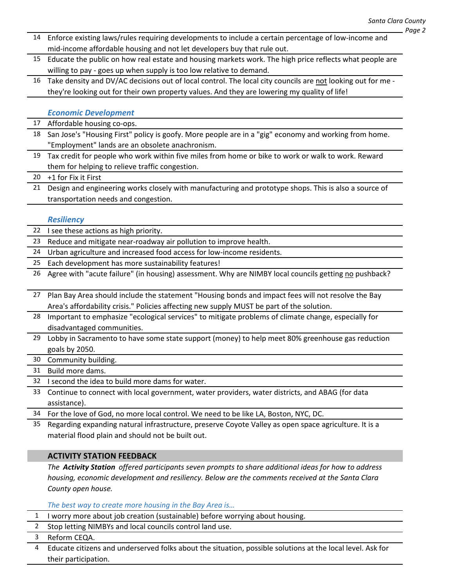- 14 Enforce existing laws/rules requiring developments to include a certain percentage of low‐income and mid‐income affordable housing and not let developers buy that rule out.
- 15 Educate the public on how real estate and housing markets work. The high price reflects what people are willing to pay - goes up when supply is too low relative to demand.
- 16 Take density and DV/AC decisions out of local control. The local city councils are not looking out for me they're looking out for their own property values. And they are lowering my quality of life!

#### *Economic Development*

17 Affordable housing co-ops.

- 18 San Jose's "Housing First" policy is goofy. More people are in a "gig" economy and working from home. "Employment" lands are an obsolete anachronism.
- 19 Tax credit for people who work within five miles from home or bike to work or walk to work. Reward them for helping to relieve traffic congestion.

20 +1 for Fix it First

21 Design and engineering works closely with manufacturing and prototype shops. This is also a source of transportation needs and congestion.

#### *Resiliency*

- 22 I see these actions as high priority.
- 23 Reduce and mitigate near‐roadway air pollution to improve health.
- 24 Urban agriculture and increased food access for low-income residents.
- 25 Each development has more sustainability features!
- 26 Agree with "acute failure" (in housing) assessment. Why are NIMBY local councils getting no pushback?
- 27 Plan Bay Area should include the statement "Housing bonds and impact fees will not resolve the Bay Area's affordability crisis." Policies affecting new supply MUST be part of the solution.
- 28 Important to emphasize "ecological services" to mitigate problems of climate change, especially for disadvantaged communities.
- 29 Lobby in Sacramento to have some state support (money) to help meet 80% greenhouse gas reduction goals by 2050.

30 Community building.

31 Build more dams.

32 I second the idea to build more dams for water.

- 33 Continue to connect with local government, water providers, water districts, and ABAG (for data assistance).
- 34 For the love of God, no more local control. We need to be like LA, Boston, NYC, DC.
- 35 Regarding expanding natural infrastructure, preserve Coyote Valley as open space agriculture. It is a material flood plain and should not be built out.

# **ACTIVITY STATION FEEDBACK**

*The Activity Station offered participants seven prompts to share additional ideas for how to address housing, economic development and resiliency. Below are the comments received at the Santa Clara County open house.*

#### *The best way to create more housing in the Bay Area is…*

- 1 I worry more about job creation (sustainable) before worrying about housing.
- 2 Stop letting NIMBYs and local councils control land use.

3 Reform CEQA.

4 Educate citizens and underserved folks about the situation, possible solutions at the local level. Ask for their participation.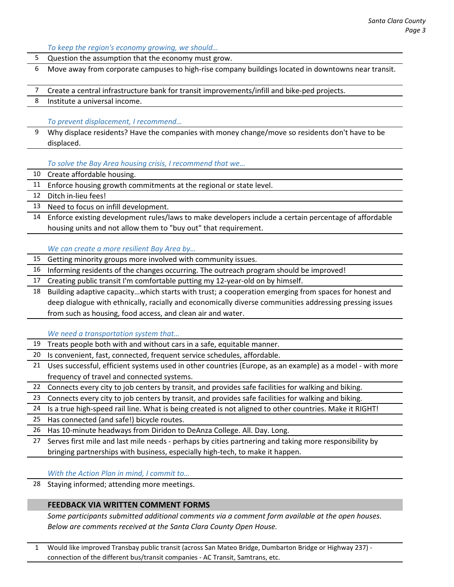Question the assumption that the economy must grow. 6 Move away from corporate campuses to high‐rise company buildings located in downtowns near transit. 7 Create a central infrastructure bank for transit improvements/infill and bike‐ped projects. 8 Institute a universal income. *To prevent displacement, I recommend…* 9 Why displace residents? Have the companies with money change/move so residents don't have to be displaced. *To solve the Bay Area housing crisis, I recommend that we…* 10 Create affordable housing. 11 Enforce housing growth commitments at the regional or state level. 12 Ditch in-lieu fees! 13 Need to focus on infill development. 14 Enforce existing development rules/laws to make developers include a certain percentage of affordable housing units and not allow them to "buy out" that requirement. *We can create a more resilient Bay Area by…* 15 Getting minority groups more involved with community issues. 16 Informing residents of the changes occurring. The outreach program should be improved! 17 Creating public transit I'm comfortable putting my 12‐year‐old on by himself. 18 Building adaptive capacity…which starts with trust; a cooperation emerging from spaces for honest and deep dialogue with ethnically, racially and economically diverse communities addressing pressing issues from such as housing, food access, and clean air and water. *We need a transportation system that…* 19 Treats people both with and without cars in a safe, equitable manner. 20 Is convenient, fast, connected, frequent service schedules, affordable. 21 Uses successful, efficient systems used in other countries (Europe, as an example) as a model - with more frequency of travel and connected systems. 22 Connects every city to job centers by transit, and provides safe facilities for walking and biking. 23 Connects every city to job centers by transit, and provides safe facilities for walking and biking. 24 Is a true high‐speed rail line. What is being created is not aligned to other countries. Make it RIGHT! 25 Has connected (and safe!) bicycle routes. 26 Has 10‐minute headways from Diridon to DeAnza College. All. Day. Long. 27 Serves first mile and last mile needs ‐ perhaps by cities partnering and taking more responsibility by bringing partnerships with business, especially high‐tech, to make it happen. *With the Action Plan in mind, I commit to…* 28 Staying informed; attending more meetings. **FEEDBACK VIA WRITTEN COMMENT FORMS**  *Some participants submitted additional comments via a comment form available at the open houses. Below are comments received at the Santa Clara County Open House.* 

*To keep the region's economy growing, we should…*

1 Would like improved Transbay public transit (across San Mateo Bridge, Dumbarton Bridge or Highway 237) ‐ connection of the different bus/transit companies ‐ AC Transit, Samtrans, etc.